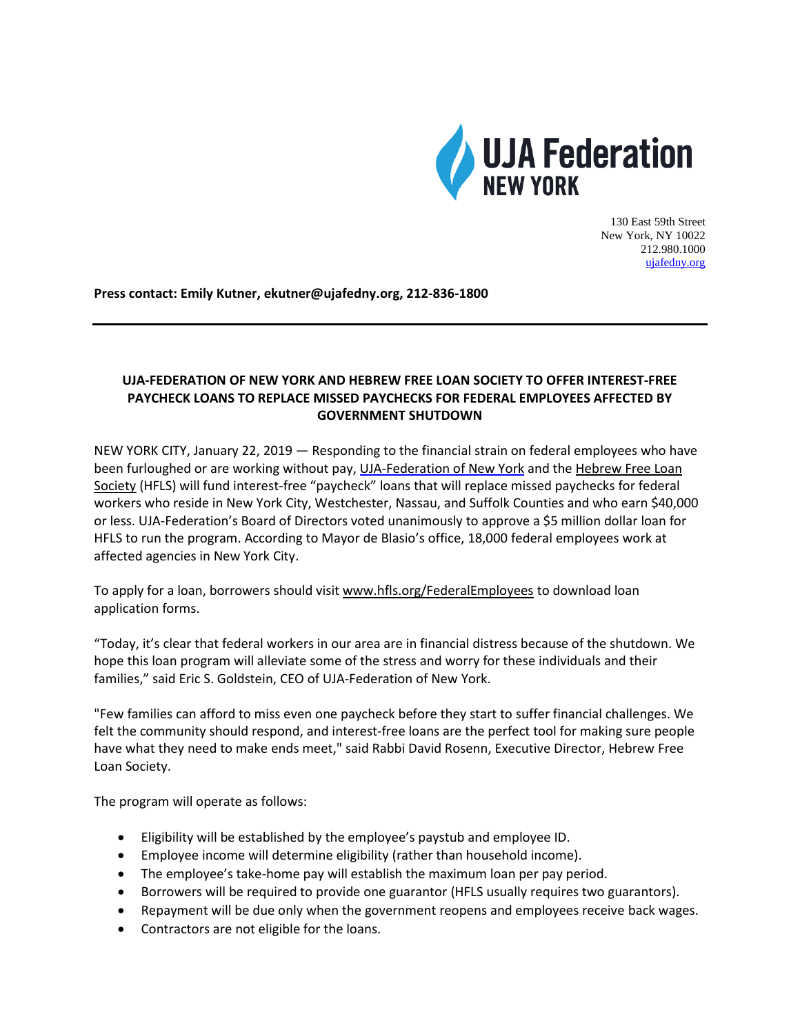

130 East 59th Street New York, NY 10022 212.980.1000 [ujafedny.org](http://www.ujafedny.org/)

**Press contact: Emily Kutner, ekutner@ujafedny.org, 212-836-1800**

## **UJA-FEDERATION OF NEW YORK AND HEBREW FREE LOAN SOCIETY TO OFFER INTEREST-FREE PAYCHECK LOANS TO REPLACE MISSED PAYCHECKS FOR FEDERAL EMPLOYEES AFFECTED BY GOVERNMENT SHUTDOWN**

NEW YORK CITY, January 22, 2019 — Responding to the financial strain on federal employees who have been furloughed or are working without pay, [UJA-Federation](https://www.ujafedny.org/) of New York and the [Hebrew](http://www.hfls.org/FederalEmployees) Free Loan [Society](http://www.hfls.org/FederalEmployees) (HFLS) will fund interest-free "paycheck" loans that will replace missed paychecks for federal workers who reside in New York City, Westchester, Nassau, and Suffolk Counties and who earn \$40,000 or less. UJA-Federation's Board of Directors voted unanimously to approve a \$5 million dollar loan for HFLS to run the program. According to Mayor de Blasio's office, 18,000 federal employees work at affected agencies in New York City.

To apply for a loan, borrowers should visit [www.hfls.org/FederalEmployees](http://www.hfls.org/FederalEmployees) to download loan application forms.

"Today, it's clear that federal workers in our area are in financial distress because of the shutdown. We hope this loan program will alleviate some of the stress and worry for these individuals and their families," said Eric S. Goldstein, CEO of UJA-Federation of New York.

"Few families can afford to miss even one paycheck before they start to suffer financial challenges. We felt the community should respond, and interest-free loans are the perfect tool for making sure people have what they need to make ends meet," said Rabbi David Rosenn, Executive Director, Hebrew Free Loan Society.

The program will operate as follows:

- Eligibility will be established by the employee's paystub and employee ID.
- Employee income will determine eligibility (rather than household income).
- The employee's take-home pay will establish the maximum loan per pay period.
- Borrowers will be required to provide one guarantor (HFLS usually requires two guarantors).
- Repayment will be due only when the government reopens and employees receive back wages.
- Contractors are not eligible for the loans.